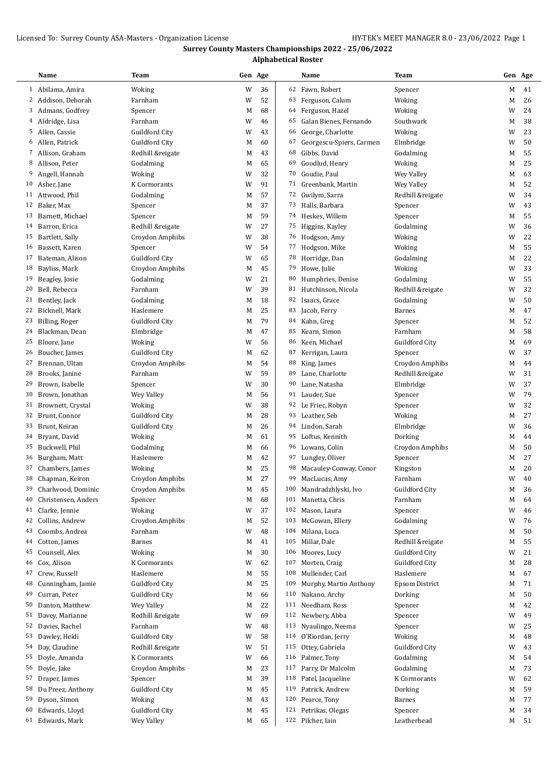## Licensed To: Surrey County ASA-Masters - Organization License HY-TEK's MEET MANAGER 8.0 - 23/06/2022 Page 1

# **Surrey County Masters Championships 2022 - 25/06/2022**

**Alphabetical Roster**

|    | Name                 | Team             | Gen Age |        |     | Name                     | Team                  | Gen Age |                     |
|----|----------------------|------------------|---------|--------|-----|--------------------------|-----------------------|---------|---------------------|
|    | 1 Abilama, Amira     | Woking           | W       | 36     | 62  | Fawn, Robert             | Spencer               | M       | 41                  |
|    | 2 Addison, Deborah   | Farnham          | W       | 52     | 63  | Ferguson, Calum          | Woking                | M       | 26                  |
|    | 3 Admans, Godfrey    | Spencer          | M       | 68     | 64  | Ferguson, Hazel          | Woking                | W       | 24                  |
|    | 4 Aldridge, Lisa     | Farnham          | W       | 46     | 65  | Galan Bienes, Fernando   | Southwark             | M       | 38                  |
|    | 5 Allen, Cassie      | Guildford City   | W       | 43     | 66  | George, Charlotte        | Woking                | W       | 23                  |
|    | 6 Allen, Patrick     | Guildford City   | M       | 60     | 67  | Georgescu-Spiers, Carmen | Elmbridge             | W       | 50                  |
|    | 7 Allison, Graham    | Redhill &reigate | M       | 43     | 68  | Gibbs, David             | Godalming             | M       | 55                  |
| 8  | Allison, Peter       | Godalming        | M       | 65     | 69  | Goodlud, Henry           | Woking                | M       | 25                  |
| 9  | Angell, Hannah       | Woking           | W       | 32     | 70  | Goudie, Paul             | Wey Valley            | M       | 63                  |
| 10 | Asher, Jane          | K Cormorants     | W       | 91     | 71  | Greenbank, Martin        | Wey Valley            | M       | 52                  |
|    | 11 Attwood, Phil     | Godalming        | M       | 57     | 72  | Gwilym, Sarra            | Redhill &reigate      | W       | 34                  |
|    | 12 Baker, Max        | Spencer          | M       | 37     | 73  | Halls, Barbara           | Spencer               | W       | 43                  |
| 13 | Barnett, Michael     | Spencer          | M       | 59     | 74  | Heskes, Willem           | Spencer               | M       | 55                  |
| 14 | Barron, Erica        | Redhill &reigate | W       | 27     | 75  | Higgins, Kayley          | Godalming             | W       | 36                  |
| 15 | Bartlett, Sally      | Croydon Amphibs  | W       | 38     | 76  | Hodgson, Amy             | Woking                | W       | 22                  |
| 16 | Bassett, Karen       | Spencer          | W       | 54     | 77  | Hodgson, Mike            | Woking                | M       | 55                  |
| 17 | Bateman, Alison      | Guildford City   | W       | 65     | 78  | Horridge, Dan            | Godalming             | M       | 22                  |
| 18 | Bayliss, Mark        | Croydon Amphibs  | M       | 45     | 79  | Howe, Julie              | Woking                | W       | 33                  |
| 19 | Beagley, Josie       | Godalming        | W       | 21     | 80  | Humphries, Denise        | Godalming             | W       | 55                  |
| 20 | Bell, Rebecca        | Farnham          | W       | 39     | 81  | Hutchinson, Nicola       | Redhill &reigate      | W       | 32                  |
| 21 | Bentley, Jack        | Godalming        | M       | 18     | 82  | Isaacs, Grace            | Godalming             | W       | 50                  |
| 22 | Bicknell, Mark       | Haslemere        | M       | 25     | 83  | Jacob, Ferry             | <b>Barnes</b>         | M       | 47                  |
| 23 | Billing, Roger       | Guildford City   | M       | 79     | 84  | Kahn, Greg               | Spencer               | M       | 52                  |
| 24 | Blackman, Dean       | Elmbridge        | M       | 47     | 85  | Kearn, Simon             | Farnham               | M       | 58                  |
| 25 | Bloore, Jane         | Woking           | W       | 56     | 86  | Keen, Michael            | Guildford City        | M       | 69                  |
| 26 | Boucher, James       | Guildford City   | M       | 62     | 87  | Kerrigan, Laura          | Spencer               | W       | 37                  |
| 27 | Brennan, Ultan       | Croydon Amphibs  | M       | 54     | 88  | King, James              | Croydon Amphibs       | M       | 44                  |
| 28 | Brooks, Janine       | Farnham          | W       | 59     | 89  | Lane, Charlotte          | Redhill &reigate      | W       | 31                  |
| 29 | Brown, Isabelle      | Spencer          | W       | 30     | 90  | Lane, Natasha            | Elmbridge             | W       | 37                  |
| 30 | Brown, Jonathan      | Wey Valley       | M       | 56     | 91  | Lauder, Sue              | Spencer               | W       | 79                  |
|    | 31 Brownett, Crystal | Woking           | W       | 38     | 92  | Le Friec, Robyn          | Spencer               | W       | 32                  |
| 32 | Brunt, Connor        | Guildford City   | M       | 28     | 93  | Leather, Seb             | Woking                | M       | 27                  |
| 33 | Brunt, Keiran        | Guildford City   | M       | 26     | 94  | Lindon, Sarah            | Elmbridge             | W       | 36                  |
| 34 | Bryant, David        | Woking           | M       | 61     | 95  | Loftus, Kennith          | Dorking               | M       | 44                  |
| 35 | Buckwell, Phil       | Godalming        | M       | 66     | 96  | Lowans, Colin            | Croydon Amphibs       | M       | 50                  |
| 36 | Burgham, Matt        | Haslemere        | M       | 42     | 97  | Lungley, Oliver          | Spencer               | M       | 27                  |
|    | 37 Chambers, James   | Woking           | M       | 25     | 98  | Macauley-Conway, Conor   | Kingston              | М       | 20                  |
|    | 38 Chapman, Keiron   | Croydon Amphibs  | М       | $27\,$ |     | 99 MacLucas, Amy         | Farnham               |         | $\,$ W $\,$ 40 $\,$ |
| 39 | Charlwood, Dominic   | Croydon Amphibs  | M       | 45     | 100 | Mandradzhlyski, Ivo      | Guildford City        | M       | 36                  |
| 40 | Christensen, Anders  | Spencer          | M       | 68     | 101 | Manetta, Chris           | Farnham               | М       | 64                  |
|    | 41 Clarke, Jennie    | Woking           | W       | 37     | 102 | Mason, Laura             | Spencer               | W       | 46                  |
| 42 | Collins, Andrew      | Croydon Amphibs  | M       | 52     | 103 | McGowan, Ellery          | Godalming             | W       | 76                  |
| 43 | Coombs, Andrea       | Farnham          | W       | 48     | 104 | Milana, Luca             | Spencer               | M       | 50                  |
| 44 | Cotton, James        | Barnes           | M       | 41     | 105 | Millar, Dale             | Redhill &reigate      | M       | 55                  |
| 45 | Counsell, Alex       | Woking           | M       | 30     | 106 | Moores, Lucy             | Guildford City        | W       | 21                  |
| 46 | Cox, Alison          | K Cormorants     | W       | 62     | 107 | Morten, Craig            | Guildford City        | M       | 28                  |
| 47 | Crew, Russell        | Haslemere        | M       | 55     | 108 | Mullender, Carl          | Haslemere             | M       | 67                  |
| 48 | Cunningham, Jamie    | Guildford City   | M       | 25     | 109 | Murphy, Martin Anthony   | <b>Epsom District</b> | M       | 71                  |
| 49 | Curran, Peter        | Guildford City   | M       | 66     | 110 | Nakano, Archy            | Dorking               | M       | 50                  |
| 50 | Danton, Matthew      | Wey Valley       | M       | 22     | 111 | Needham, Ross            | Spencer               | M       | 42                  |
| 51 | Davey, Marianne      | Redhill &reigate | W       | 69     | 112 | Newbery, Abba            |                       | W       | 49                  |
| 52 | Davies, Rachel       | Farnham          | W       | 48     | 113 | Nyaulingo, Neema         | Spencer               | W       | 25                  |
|    |                      |                  |         |        |     |                          | Spencer               |         |                     |
| 53 | Dawley, Heidi        | Guildford City   | W       | 58     | 114 | O'Riordan, Jerry         | Woking                | M       | 48                  |
|    | 54 Day, Claudine     | Redhill &reigate | W       | 51     | 115 | Ottey, Gabriela          | Guildford City        | W       | 43                  |
| 55 | Doyle, Amanda        | K Cormorants     | W       | 66     | 116 | Palmer, Tony             | Godalming             | M       | 54                  |
| 56 | Doyle, Jake          | Croydon Amphibs  | M       | 23     | 117 | Parry, Dr Malcolm        | Godalming             | M       | 73                  |
| 57 | Draper, James        | Spencer          | M       | 39     | 118 | Patel, Jacqueline        | K Cormorants          | W       | 62                  |
| 58 | Du Preez, Anthony    | Guildford City   | M       | 45     | 119 | Patrick, Andrew          | Dorking               | M       | 59                  |
| 59 | Dyson, Simon         | Woking           | M       | 43     | 120 | Pearce, Tony             | <b>Barnes</b>         | M       | 77                  |
| 60 | Edwards, Lloyd       | Guildford City   | M       | 45     | 121 | Petrikas, Olegas         | Spencer               | M       | 34                  |
|    | 61 Edwards, Mark     | Wey Valley       | M       | 65     |     | 122 Pilcher, Iain        | Leatherhead           | M       | 51                  |